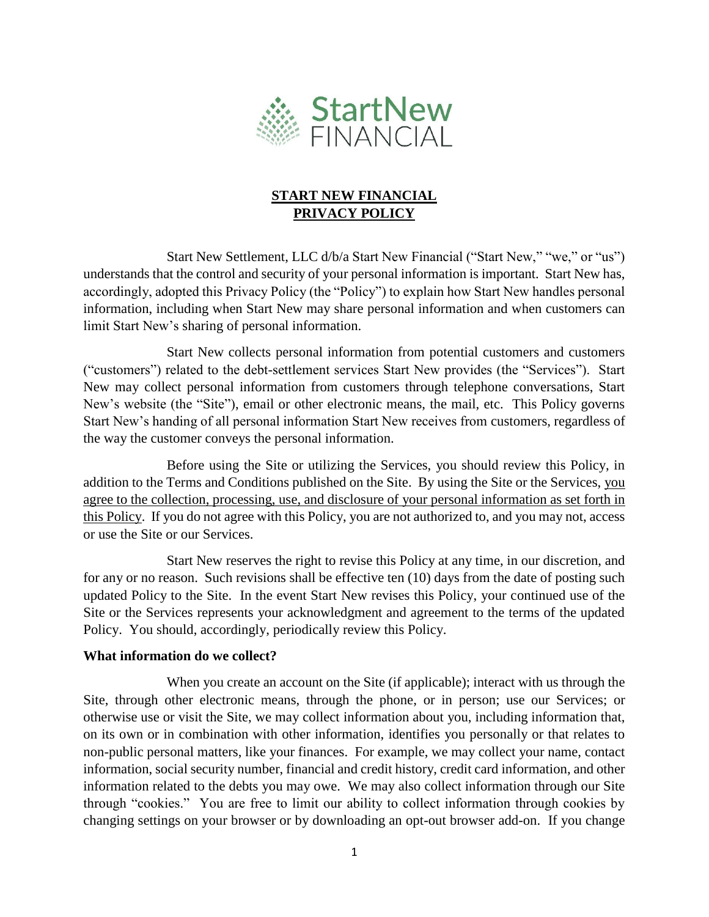

## **START NEW FINANCIAL PRIVACY POLICY**

Start New Settlement, LLC d/b/a Start New Financial ("Start New," "we," or "us") understands that the control and security of your personal information is important. Start New has, accordingly, adopted this Privacy Policy (the "Policy") to explain how Start New handles personal information, including when Start New may share personal information and when customers can limit Start New's sharing of personal information.

Start New collects personal information from potential customers and customers ("customers") related to the debt-settlement services Start New provides (the "Services"). Start New may collect personal information from customers through telephone conversations, Start New's website (the "Site"), email or other electronic means, the mail, etc. This Policy governs Start New's handing of all personal information Start New receives from customers, regardless of the way the customer conveys the personal information.

Before using the Site or utilizing the Services, you should review this Policy, in addition to the Terms and Conditions published on the Site. By using the Site or the Services, you agree to the collection, processing, use, and disclosure of your personal information as set forth in this Policy. If you do not agree with this Policy, you are not authorized to, and you may not, access or use the Site or our Services.

Start New reserves the right to revise this Policy at any time, in our discretion, and for any or no reason. Such revisions shall be effective ten (10) days from the date of posting such updated Policy to the Site. In the event Start New revises this Policy, your continued use of the Site or the Services represents your acknowledgment and agreement to the terms of the updated Policy. You should, accordingly, periodically review this Policy.

#### **What information do we collect?**

When you create an account on the Site (if applicable); interact with us through the Site, through other electronic means, through the phone, or in person; use our Services; or otherwise use or visit the Site, we may collect information about you, including information that, on its own or in combination with other information, identifies you personally or that relates to non-public personal matters, like your finances. For example, we may collect your name, contact information, social security number, financial and credit history, credit card information, and other information related to the debts you may owe. We may also collect information through our Site through "cookies." You are free to limit our ability to collect information through cookies by changing settings on your browser or by downloading an opt-out browser add-on. If you change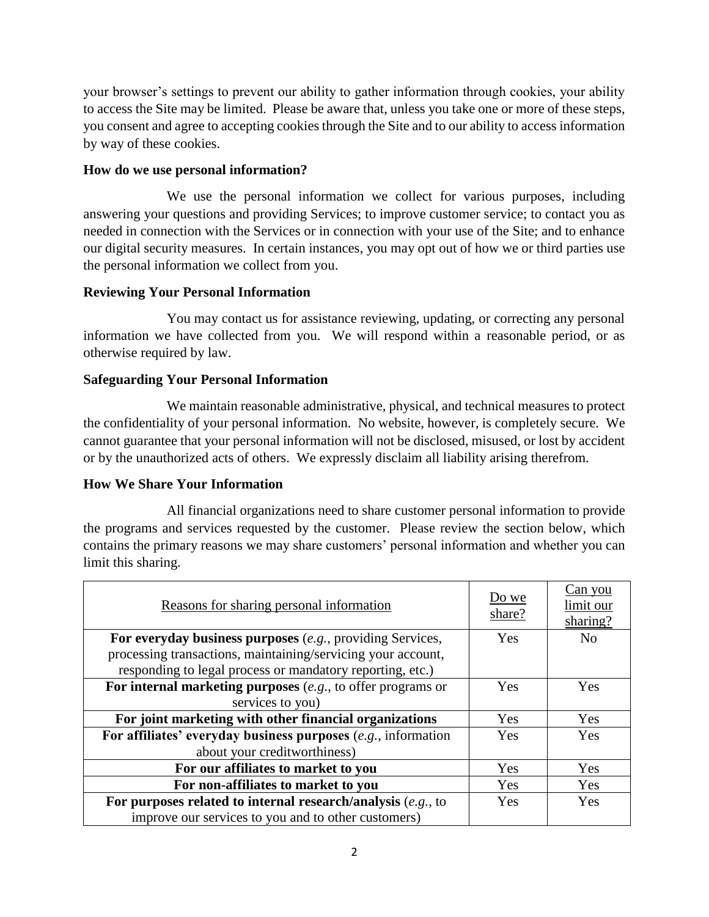your browser's settings to prevent our ability to gather information through cookies, your ability to access the Site may be limited. Please be aware that, unless you take one or more of these steps, you consent and agree to accepting cookies through the Site and to our ability to access information by way of these cookies.

### **How do we use personal information?**

We use the personal information we collect for various purposes, including answering your questions and providing Services; to improve customer service; to contact you as needed in connection with the Services or in connection with your use of the Site; and to enhance our digital security measures. In certain instances, you may opt out of how we or third parties use the personal information we collect from you.

### **Reviewing Your Personal Information**

You may contact us for assistance reviewing, updating, or correcting any personal information we have collected from you. We will respond within a reasonable period, or as otherwise required by law.

## **Safeguarding Your Personal Information**

We maintain reasonable administrative, physical, and technical measures to protect the confidentiality of your personal information. No website, however, is completely secure. We cannot guarantee that your personal information will not be disclosed, misused, or lost by accident or by the unauthorized acts of others. We expressly disclaim all liability arising therefrom.

# **How We Share Your Information**

All financial organizations need to share customer personal information to provide the programs and services requested by the customer. Please review the section below, which contains the primary reasons we may share customers' personal information and whether you can limit this sharing.

| Reasons for sharing personal information                        | Do we<br>share? | Can you<br>limit our<br>sharing? |
|-----------------------------------------------------------------|-----------------|----------------------------------|
| For everyday business purposes (e.g., providing Services,       | Yes             | N <sub>o</sub>                   |
| processing transactions, maintaining/servicing your account,    |                 |                                  |
| responding to legal process or mandatory reporting, etc.)       |                 |                                  |
| For internal marketing purposes $(e.g., to offer programs or$   | Yes             | Yes                              |
| services to you)                                                |                 |                                  |
| For joint marketing with other financial organizations          | Yes             | Yes                              |
| For affiliates' everyday business purposes (e.g., information   | Yes             | Yes                              |
| about your creditworthiness)                                    |                 |                                  |
| For our affiliates to market to you                             | Yes             | Yes                              |
| For non-affiliates to market to you                             | Yes             | Yes                              |
| For purposes related to internal research/analysis $(e.g., to)$ | Yes             | Yes                              |
| improve our services to you and to other customers)             |                 |                                  |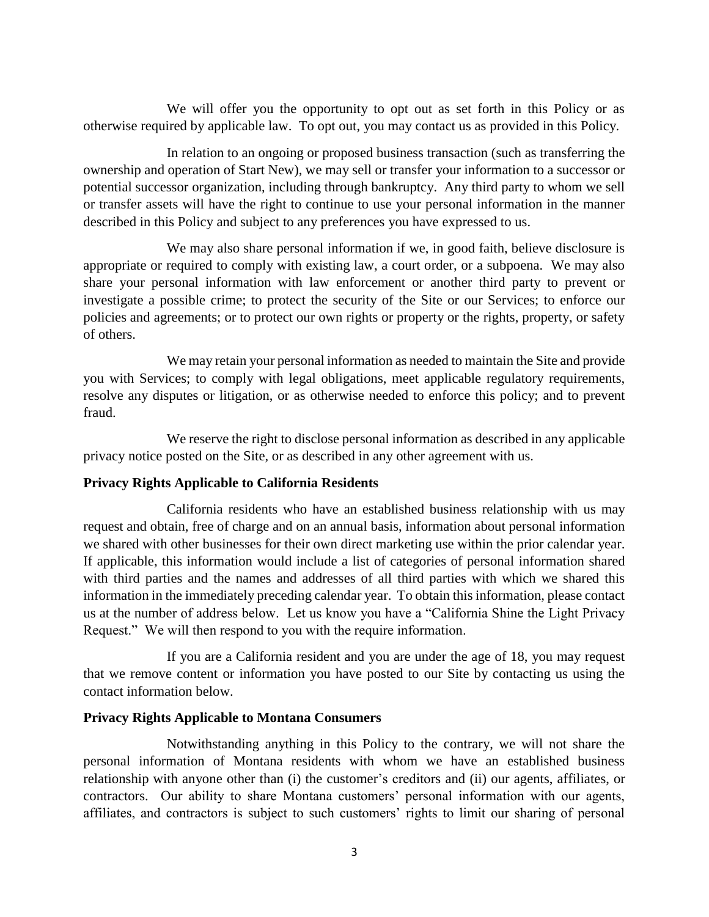We will offer you the opportunity to opt out as set forth in this Policy or as otherwise required by applicable law. To opt out, you may contact us as provided in this Policy.

In relation to an ongoing or proposed business transaction (such as transferring the ownership and operation of Start New), we may sell or transfer your information to a successor or potential successor organization, including through bankruptcy. Any third party to whom we sell or transfer assets will have the right to continue to use your personal information in the manner described in this Policy and subject to any preferences you have expressed to us.

We may also share personal information if we, in good faith, believe disclosure is appropriate or required to comply with existing law, a court order, or a subpoena. We may also share your personal information with law enforcement or another third party to prevent or investigate a possible crime; to protect the security of the Site or our Services; to enforce our policies and agreements; or to protect our own rights or property or the rights, property, or safety of others.

We may retain your personal information as needed to maintain the Site and provide you with Services; to comply with legal obligations, meet applicable regulatory requirements, resolve any disputes or litigation, or as otherwise needed to enforce this policy; and to prevent fraud.

We reserve the right to disclose personal information as described in any applicable privacy notice posted on the Site, or as described in any other agreement with us.

#### **Privacy Rights Applicable to California Residents**

California residents who have an established business relationship with us may request and obtain, free of charge and on an annual basis, information about personal information we shared with other businesses for their own direct marketing use within the prior calendar year. If applicable, this information would include a list of categories of personal information shared with third parties and the names and addresses of all third parties with which we shared this information in the immediately preceding calendar year. To obtain this information, please contact us at the number of address below. Let us know you have a "California Shine the Light Privacy Request." We will then respond to you with the require information.

If you are a California resident and you are under the age of 18, you may request that we remove content or information you have posted to our Site by contacting us using the contact information below.

#### **Privacy Rights Applicable to Montana Consumers**

Notwithstanding anything in this Policy to the contrary, we will not share the personal information of Montana residents with whom we have an established business relationship with anyone other than (i) the customer's creditors and (ii) our agents, affiliates, or contractors. Our ability to share Montana customers' personal information with our agents, affiliates, and contractors is subject to such customers' rights to limit our sharing of personal